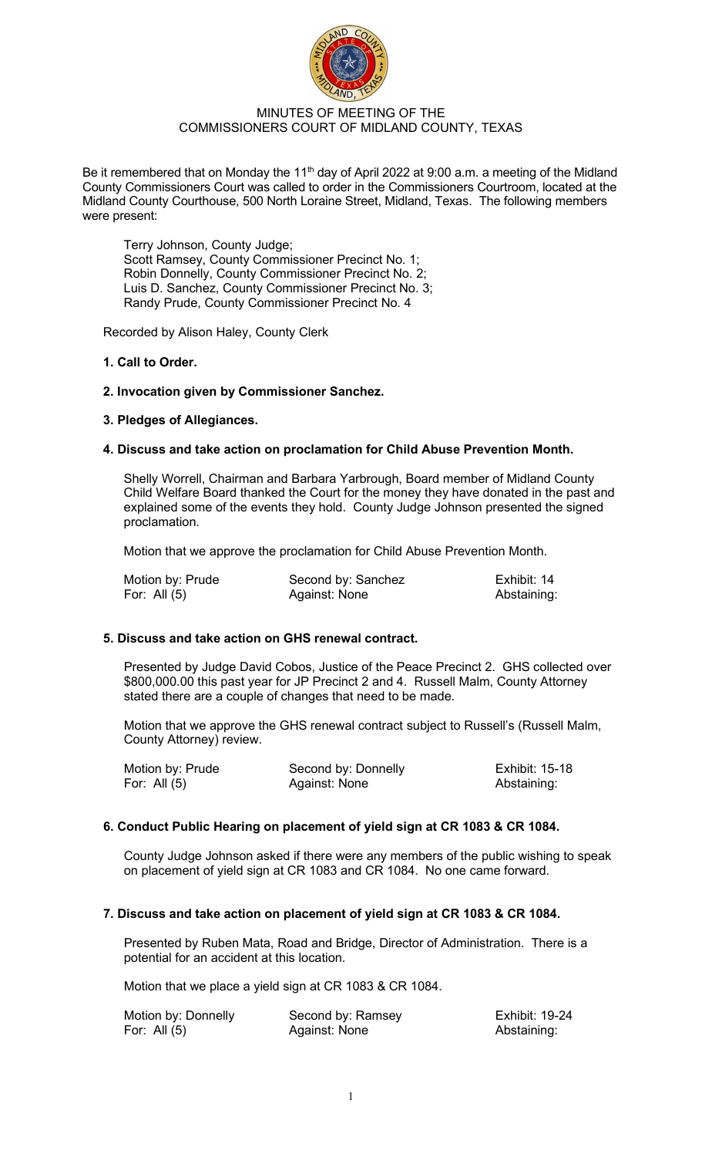

# MINUTES OF MEETING OF THE COMMISSIONERS COURT OF MIDLAND COUNTY, TEXAS

Be it remembered that on Monday the 11<sup>th</sup> day of April 2022 at 9:00 a.m. a meeting of the Midland County Commissioners Court was called to order in the Commissioners Courtroom, located at the Midland County Courthouse, 500 North Loraine Street, Midland, Texas. The following members were present:

Terry Johnson, County Judge; Scott Ramsey, County Commissioner Precinct No. 1; Robin Donnelly, County Commissioner Precinct No. 2; Luis D. Sanchez, County Commissioner Precinct No. 3; Randy Prude, County Commissioner Precinct No. 4

Recorded by Alison Haley, County Clerk

# **1. Call to Order.**

# **2. Invocation given by Commissioner Sanchez.**

# **3. Pledges of Allegiances.**

# **4. Discuss and take action on proclamation for Child Abuse Prevention Month.**

Shelly Worrell, Chairman and Barbara Yarbrough, Board member of Midland County Child Welfare Board thanked the Court for the money they have donated in the past and explained some of the events they hold. County Judge Johnson presented the signed proclamation.

Motion that we approve the proclamation for Child Abuse Prevention Month.

| Motion by: Prude | Second by: Sanchez | Exhibit: 14 |
|------------------|--------------------|-------------|
| For: All $(5)$   | Against: None      | Abstaining: |

# **5. Discuss and take action on GHS renewal contract.**

Presented by Judge David Cobos, Justice of the Peace Precinct 2. GHS collected over \$800,000.00 this past year for JP Precinct 2 and 4. Russell Malm, County Attorney stated there are a couple of changes that need to be made.

Motion that we approve the GHS renewal contract subject to Russell's (Russell Malm, County Attorney) review.

| Motion by: Prude | Second by: Donnelly | <b>Exhibit: 15-18</b> |
|------------------|---------------------|-----------------------|
| For: All $(5)$   | Against: None       | Abstaining:           |

# **6. Conduct Public Hearing on placement of yield sign at CR 1083 & CR 1084.**

County Judge Johnson asked if there were any members of the public wishing to speak on placement of yield sign at CR 1083 and CR 1084. No one came forward.

# **7. Discuss and take action on placement of yield sign at CR 1083 & CR 1084.**

Presented by Ruben Mata, Road and Bridge, Director of Administration. There is a potential for an accident at this location.

Motion that we place a yield sign at CR 1083 & CR 1084.

| Motion by: Donnelly | Second by: Ramsey | Exhibit: 19-24 |
|---------------------|-------------------|----------------|
| For: All $(5)$      | Against: None     | Abstaining:    |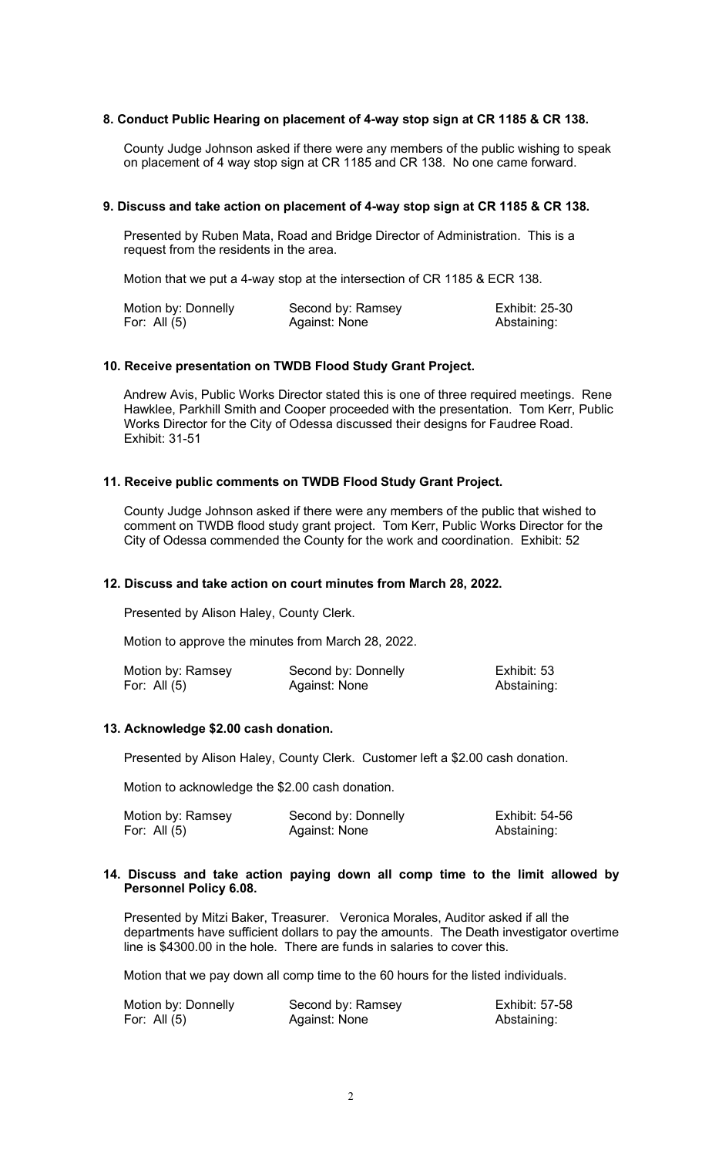### **8. Conduct Public Hearing on placement of 4-way stop sign at CR 1185 & CR 138.**

County Judge Johnson asked if there were any members of the public wishing to speak on placement of 4 way stop sign at CR 1185 and CR 138. No one came forward.

#### **9. Discuss and take action on placement of 4-way stop sign at CR 1185 & CR 138.**

Presented by Ruben Mata, Road and Bridge Director of Administration. This is a request from the residents in the area.

Motion that we put a 4-way stop at the intersection of CR 1185 & ECR 138.

| Motion by: Donnelly | Second by: Ramsey | <b>Exhibit: 25-30</b> |
|---------------------|-------------------|-----------------------|
| For: All $(5)$      | Against: None     | Abstaining:           |

### **10. Receive presentation on TWDB Flood Study Grant Project.**

Andrew Avis, Public Works Director stated this is one of three required meetings. Rene Hawklee, Parkhill Smith and Cooper proceeded with the presentation. Tom Kerr, Public Works Director for the City of Odessa discussed their designs for Faudree Road. Exhibit: 31-51

#### **11. Receive public comments on TWDB Flood Study Grant Project.**

County Judge Johnson asked if there were any members of the public that wished to comment on TWDB flood study grant project. Tom Kerr, Public Works Director for the City of Odessa commended the County for the work and coordination. Exhibit: 52

#### **12. Discuss and take action on court minutes from March 28, 2022.**

Presented by Alison Haley, County Clerk.

Motion to approve the minutes from March 28, 2022.

| Motion by: Ramsey | Second by: Donnelly | Exhibit: 53 |
|-------------------|---------------------|-------------|
| For: All $(5)$    | Against: None       | Abstaining: |

### **13. Acknowledge \$2.00 cash donation.**

Presented by Alison Haley, County Clerk. Customer left a \$2.00 cash donation.

Motion to acknowledge the \$2.00 cash donation.

| Motion by: Ramsey | Second by: Donnelly | Exhibit: 54-56 |
|-------------------|---------------------|----------------|
| For: All $(5)$    | Against: None       | Abstaining:    |

#### **14. Discuss and take action paying down all comp time to the limit allowed by Personnel Policy 6.08.**

Presented by Mitzi Baker, Treasurer. Veronica Morales, Auditor asked if all the departments have sufficient dollars to pay the amounts. The Death investigator overtime line is \$4300.00 in the hole. There are funds in salaries to cover this.

Motion that we pay down all comp time to the 60 hours for the listed individuals.

| Motion by: Donnelly | Second by: Ramsey | <b>Exhibit: 57-58</b> |
|---------------------|-------------------|-----------------------|
| For: All (5)        | Against: None     | Abstaining:           |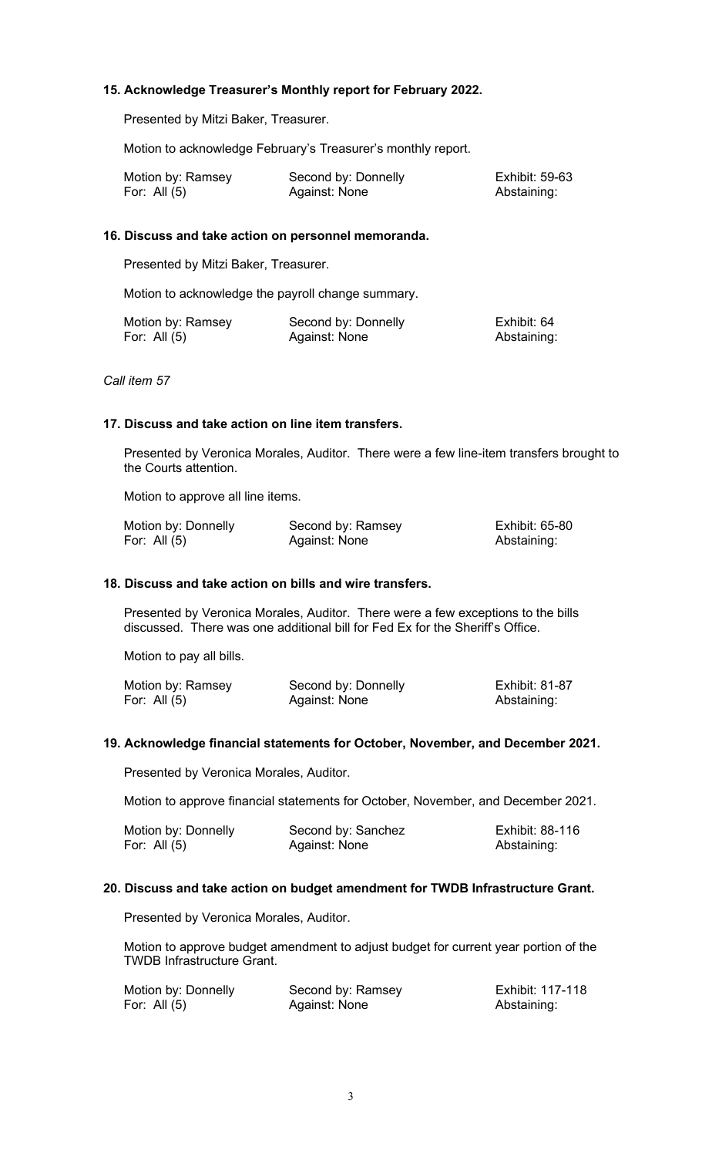# **15. Acknowledge Treasurer's Monthly report for February 2022.**

Presented by Mitzi Baker, Treasurer.

Motion to acknowledge February's Treasurer's monthly report.

| Motion by: Ramsey | Second by: Donnelly | <b>Exhibit: 59-63</b> |
|-------------------|---------------------|-----------------------|
| For: All (5)      | Against: None       | Abstaining:           |

# **16. Discuss and take action on personnel memoranda.**

Presented by Mitzi Baker, Treasurer.

Motion to acknowledge the payroll change summary.

| Motion by: Ramsey | Second by: Donnelly | Exhibit: 64 |
|-------------------|---------------------|-------------|
| For: All $(5)$    | Against: None       | Abstaining: |

*Call item 57* 

# **17. Discuss and take action on line item transfers.**

Presented by Veronica Morales, Auditor. There were a few line-item transfers brought to the Courts attention.

Motion to approve all line items.

| Motion by: Donnelly | Second by: Ramsey | Exhibit: 65-80 |
|---------------------|-------------------|----------------|
| For: All $(5)$      | Against: None     | Abstaining:    |

# **18. Discuss and take action on bills and wire transfers.**

Presented by Veronica Morales, Auditor. There were a few exceptions to the bills discussed. There was one additional bill for Fed Ex for the Sheriff's Office.

Motion to pay all bills.

| Motion by: Ramsey | Second by: Donnelly | <b>Exhibit: 81-87</b> |
|-------------------|---------------------|-----------------------|
| For: All (5)      | Against: None       | Abstaining:           |

### **19. Acknowledge financial statements for October, November, and December 2021.**

Presented by Veronica Morales, Auditor.

Motion to approve financial statements for October, November, and December 2021.

| Motion by: Donnelly | Second by: Sanchez | Exhibit: 88-116 |
|---------------------|--------------------|-----------------|
| For: All $(5)$      | Against: None      | Abstaining:     |

# **20. Discuss and take action on budget amendment for TWDB Infrastructure Grant.**

Presented by Veronica Morales, Auditor.

Motion to approve budget amendment to adjust budget for current year portion of the TWDB Infrastructure Grant.

| Motion by: Donnelly | Second by: Ramsey | Exhibit: 117-118 |
|---------------------|-------------------|------------------|
| For: All $(5)$      | Against: None     | Abstaining:      |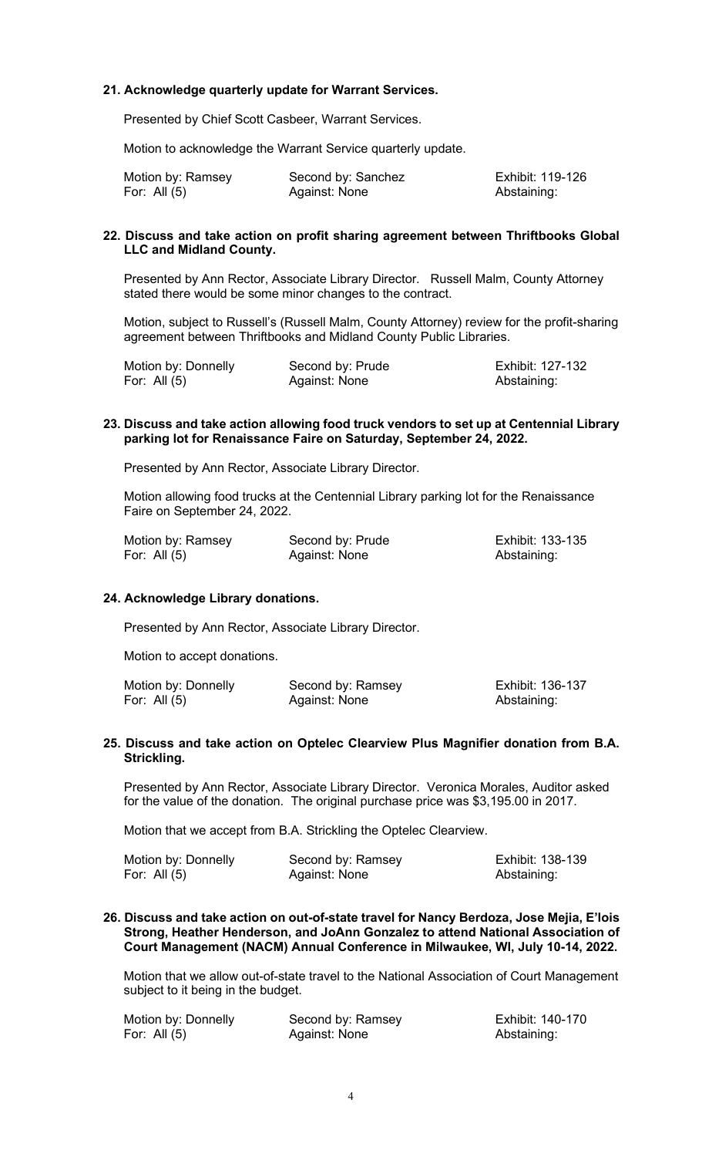# **21. Acknowledge quarterly update for Warrant Services.**

Presented by Chief Scott Casbeer, Warrant Services.

Motion to acknowledge the Warrant Service quarterly update.

| Motion by: Ramsey | Second by: Sanchez | Exhibit: 119-126 |
|-------------------|--------------------|------------------|
| For: All (5)      | Against: None      | Abstaining:      |

### **22. Discuss and take action on profit sharing agreement between Thriftbooks Global LLC and Midland County.**

Presented by Ann Rector, Associate Library Director. Russell Malm, County Attorney stated there would be some minor changes to the contract.

Motion, subject to Russell's (Russell Malm, County Attorney) review for the profit-sharing agreement between Thriftbooks and Midland County Public Libraries.

| Motion by: Donnelly | Second by: Prude | Exhibit: 127-132 |
|---------------------|------------------|------------------|
| For: All (5)        | Against: None    | Abstaining:      |

### **23. Discuss and take action allowing food truck vendors to set up at Centennial Library parking lot for Renaissance Faire on Saturday, September 24, 2022.**

Presented by Ann Rector, Associate Library Director.

Motion allowing food trucks at the Centennial Library parking lot for the Renaissance Faire on September 24, 2022.

| Motion by: Ramsey | Second by: Prude | Exhibit: 133-135 |
|-------------------|------------------|------------------|
| For: All $(5)$    | Against: None    | Abstaining:      |

### **24. Acknowledge Library donations.**

Presented by Ann Rector, Associate Library Director.

Motion to accept donations.

| Motion by: Donnelly | Second by: Ramsey | Exhibit: 136-137 |
|---------------------|-------------------|------------------|
| For: All (5)        | Against: None     | Abstaining:      |

### **25. Discuss and take action on Optelec Clearview Plus Magnifier donation from B.A. Strickling.**

Presented by Ann Rector, Associate Library Director. Veronica Morales, Auditor asked for the value of the donation. The original purchase price was \$3,195.00 in 2017.

Motion that we accept from B.A. Strickling the Optelec Clearview.

| Motion by: Donnelly | Second by: Ramsey | Exhibit: 138-139 |
|---------------------|-------------------|------------------|
| For: All (5)        | Against: None     | Abstaining:      |

### **26. Discuss and take action on out-of-state travel for Nancy Berdoza, Jose Mejia, E'lois Strong, Heather Henderson, and JoAnn Gonzalez to attend National Association of Court Management (NACM) Annual Conference in Milwaukee, WI, July 10-14, 2022.**

Motion that we allow out-of-state travel to the National Association of Court Management subject to it being in the budget.

| Motion by: Donnelly | Second by: Ramsey | Exhibit: 140-170 |
|---------------------|-------------------|------------------|
| For: All $(5)$      | Against: None     | Abstaining:      |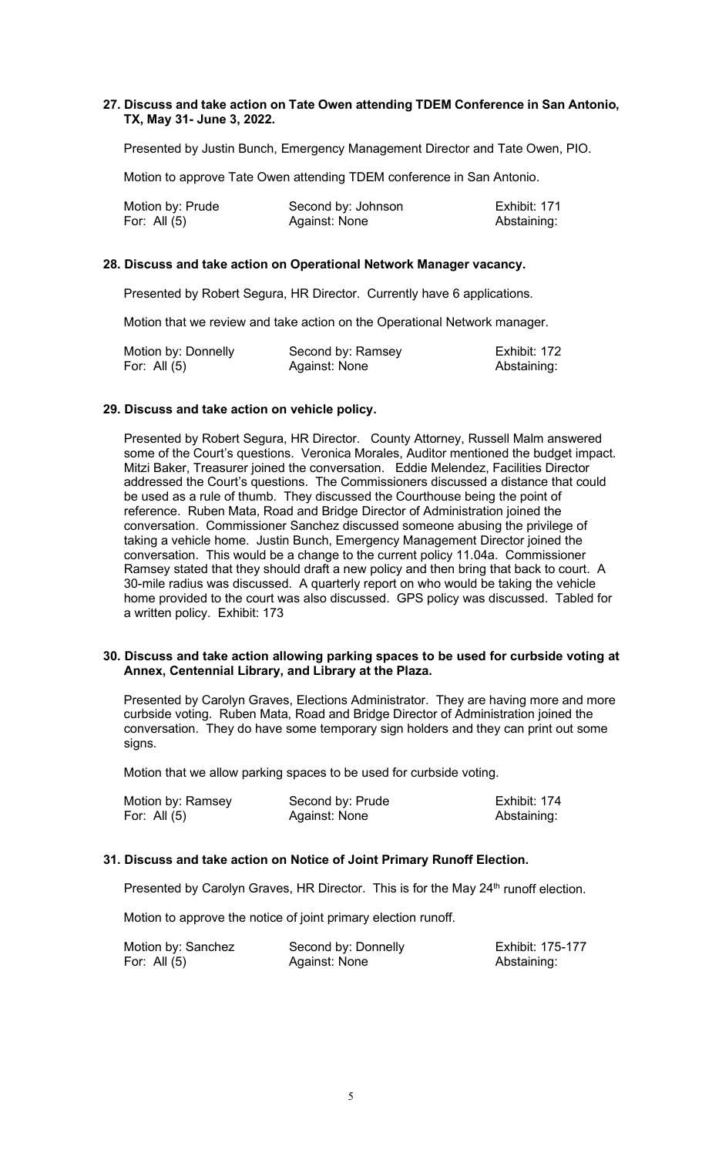# **27. Discuss and take action on Tate Owen attending TDEM Conference in San Antonio, TX, May 31- June 3, 2022.**

Presented by Justin Bunch, Emergency Management Director and Tate Owen, PIO.

Motion to approve Tate Owen attending TDEM conference in San Antonio.

| Motion by: Prude | Second by: Johnson | Exhibit: 171 |
|------------------|--------------------|--------------|
| For: All $(5)$   | Against: None      | Abstaining:  |

# **28. Discuss and take action on Operational Network Manager vacancy.**

Presented by Robert Segura, HR Director. Currently have 6 applications.

Motion that we review and take action on the Operational Network manager.

| Motion by: Donnelly | Second by: Ramsey | Exhibit: 172 |
|---------------------|-------------------|--------------|
| For: All $(5)$      | Against: None     | Abstaining:  |

# **29. Discuss and take action on vehicle policy.**

Presented by Robert Segura, HR Director. County Attorney, Russell Malm answered some of the Court's questions. Veronica Morales, Auditor mentioned the budget impact. Mitzi Baker, Treasurer joined the conversation. Eddie Melendez, Facilities Director addressed the Court's questions. The Commissioners discussed a distance that could be used as a rule of thumb. They discussed the Courthouse being the point of reference. Ruben Mata, Road and Bridge Director of Administration joined the conversation. Commissioner Sanchez discussed someone abusing the privilege of taking a vehicle home. Justin Bunch, Emergency Management Director joined the conversation. This would be a change to the current policy 11.04a. Commissioner Ramsey stated that they should draft a new policy and then bring that back to court. A 30-mile radius was discussed. A quarterly report on who would be taking the vehicle home provided to the court was also discussed. GPS policy was discussed. Tabled for a written policy. Exhibit: 173

#### **30. Discuss and take action allowing parking spaces to be used for curbside voting at Annex, Centennial Library, and Library at the Plaza.**

Presented by Carolyn Graves, Elections Administrator. They are having more and more curbside voting. Ruben Mata, Road and Bridge Director of Administration joined the conversation. They do have some temporary sign holders and they can print out some signs.

Motion that we allow parking spaces to be used for curbside voting.

| Motion by: Ramsey | Second by: Prude | Exhibit: 174 |
|-------------------|------------------|--------------|
| For: All (5)      | Against: None    | Abstaining:  |

# **31. Discuss and take action on Notice of Joint Primary Runoff Election.**

Presented by Carolyn Graves, HR Director. This is for the May 24<sup>th</sup> runoff election.

Motion to approve the notice of joint primary election runoff.

Motion by: Sanchez Second by: Donnelly<br>
For: All (5) For: All (5) Against: None Second by: Abstaining:

Against: None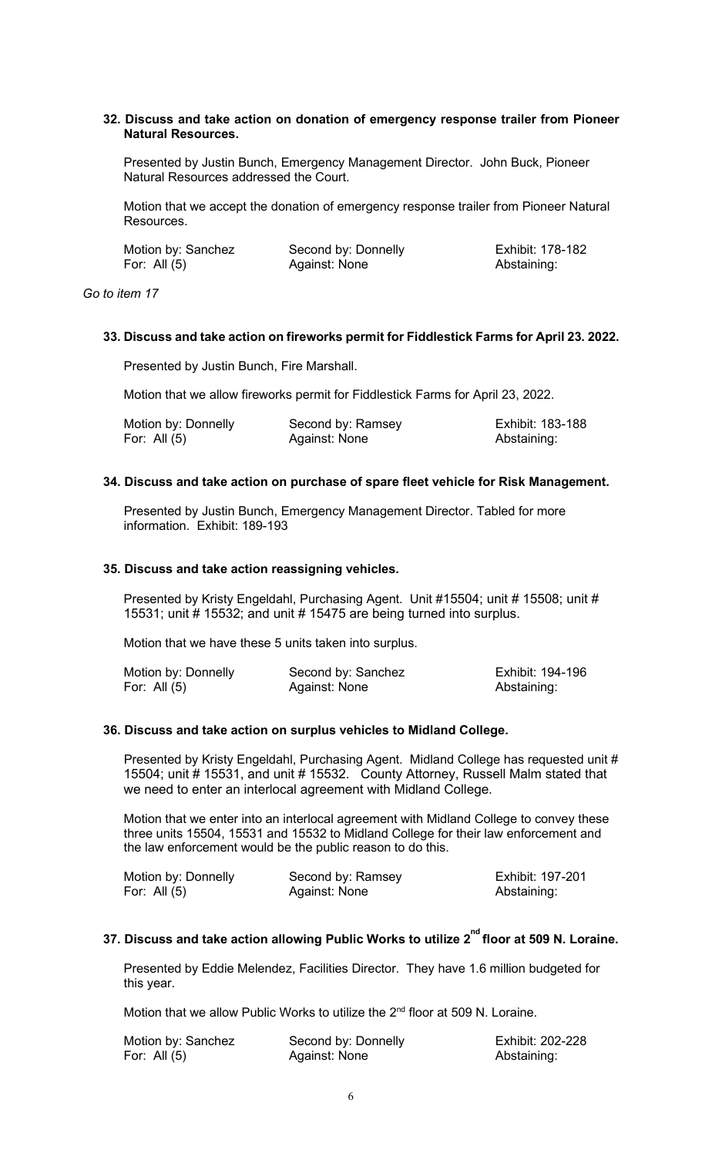### **32. Discuss and take action on donation of emergency response trailer from Pioneer Natural Resources.**

Presented by Justin Bunch, Emergency Management Director. John Buck, Pioneer Natural Resources addressed the Court.

Motion that we accept the donation of emergency response trailer from Pioneer Natural Resources.

| Motion by: Sanchez | Second by: Donnelly | Exhibit: 178-182 |
|--------------------|---------------------|------------------|
| For: All $(5)$     | Against: None       | Abstaining:      |

*Go to item 17*

### **33. Discuss and take action on fireworks permit for Fiddlestick Farms for April 23. 2022.**

Presented by Justin Bunch, Fire Marshall.

Motion that we allow fireworks permit for Fiddlestick Farms for April 23, 2022.

| Motion by: Donnelly | Second by: Ramsey | Exhibit: 183-188 |
|---------------------|-------------------|------------------|
| For: All $(5)$      | Against: None     | Abstaining:      |

#### **34. Discuss and take action on purchase of spare fleet vehicle for Risk Management.**

Presented by Justin Bunch, Emergency Management Director. Tabled for more information. Exhibit: 189-193

# **35. Discuss and take action reassigning vehicles.**

Presented by Kristy Engeldahl, Purchasing Agent. Unit #15504; unit #15508; unit # 15531; unit # 15532; and unit # 15475 are being turned into surplus.

Motion that we have these 5 units taken into surplus.

| Motion by: Donnelly | Second by: Sanchez | Exhibit: 194-196 |
|---------------------|--------------------|------------------|
| For: All $(5)$      | Against: None      | Abstaining:      |

# **36. Discuss and take action on surplus vehicles to Midland College.**

Presented by Kristy Engeldahl, Purchasing Agent. Midland College has requested unit # 15504; unit # 15531, and unit # 15532. County Attorney, Russell Malm stated that we need to enter an interlocal agreement with Midland College.

Motion that we enter into an interlocal agreement with Midland College to convey these three units 15504, 15531 and 15532 to Midland College for their law enforcement and the law enforcement would be the public reason to do this.

| Motion by: Donnelly | Second by: Ramsey | Exhibit: 197-201 |
|---------------------|-------------------|------------------|
| For: All $(5)$      | Against: None     | Abstaining:      |

# 37. Discuss and take action allowing Public Works to utilize 2<sup>nd</sup> floor at 509 N. Loraine.

Presented by Eddie Melendez, Facilities Director. They have 1.6 million budgeted for this year.

Motion that we allow Public Works to utilize the 2<sup>nd</sup> floor at 509 N. Loraine.

| Motion by: Sanchez | Second by: Donnelly | Exhibit: 202-228 |
|--------------------|---------------------|------------------|
| For: All (5)       | Against: None       | Abstaining:      |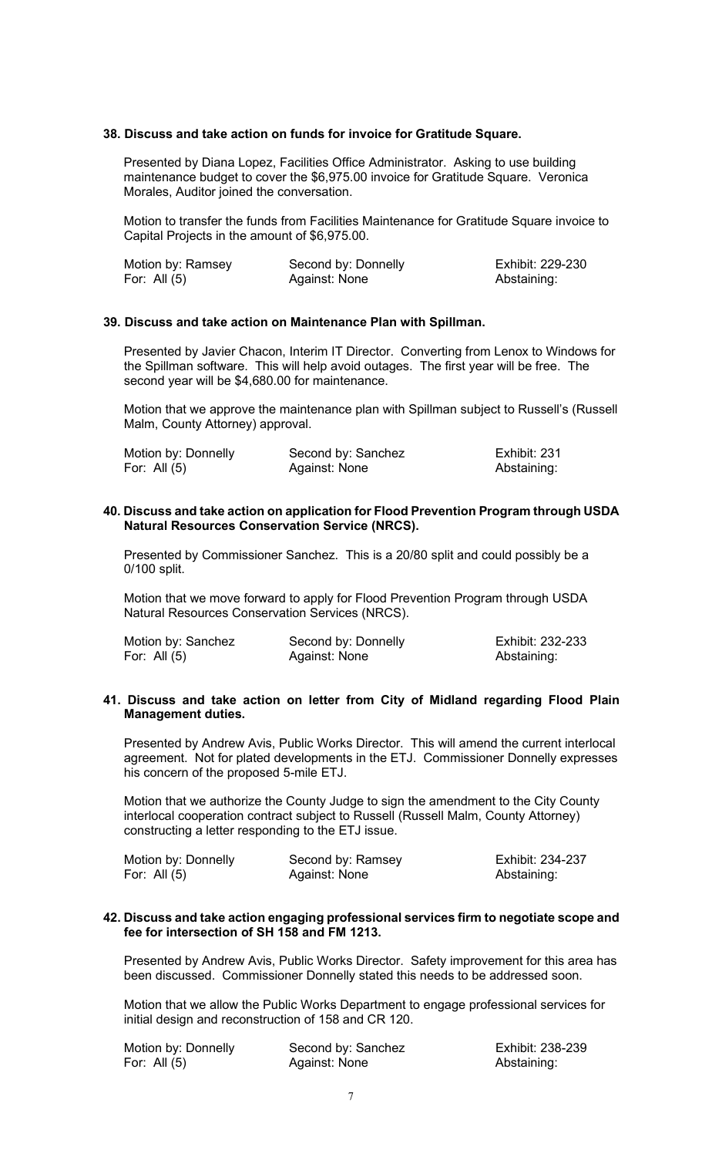# **38. Discuss and take action on funds for invoice for Gratitude Square.**

Presented by Diana Lopez, Facilities Office Administrator. Asking to use building maintenance budget to cover the \$6,975.00 invoice for Gratitude Square. Veronica Morales, Auditor joined the conversation.

Motion to transfer the funds from Facilities Maintenance for Gratitude Square invoice to Capital Projects in the amount of \$6,975.00.

| Motion by: Ramsey | Second by: Donnelly | Exhibit: 229-230 |
|-------------------|---------------------|------------------|
| For: All $(5)$    | Against: None       | Abstaining:      |

### **39. Discuss and take action on Maintenance Plan with Spillman.**

Presented by Javier Chacon, Interim IT Director. Converting from Lenox to Windows for the Spillman software. This will help avoid outages. The first year will be free. The second year will be \$4,680.00 for maintenance.

Motion that we approve the maintenance plan with Spillman subject to Russell's (Russell Malm, County Attorney) approval.

| Motion by: Donnelly | Second by: Sanchez | Exhibit: 231 |
|---------------------|--------------------|--------------|
| For: All $(5)$      | Against: None      | Abstaining:  |

### **40. Discuss and take action on application for Flood Prevention Program through USDA Natural Resources Conservation Service (NRCS).**

Presented by Commissioner Sanchez. This is a 20/80 split and could possibly be a 0/100 split.

Motion that we move forward to apply for Flood Prevention Program through USDA Natural Resources Conservation Services (NRCS).

| Motion by: Sanchez | Second by: Donnelly | Exhibit: 232-233 |
|--------------------|---------------------|------------------|
| For: All $(5)$     | Against: None       | Abstaining:      |

### **41. Discuss and take action on letter from City of Midland regarding Flood Plain Management duties.**

Presented by Andrew Avis, Public Works Director. This will amend the current interlocal agreement. Not for plated developments in the ETJ. Commissioner Donnelly expresses his concern of the proposed 5-mile ETJ.

Motion that we authorize the County Judge to sign the amendment to the City County interlocal cooperation contract subject to Russell (Russell Malm, County Attorney) constructing a letter responding to the ETJ issue.

| Motion by: Donnelly | Second by: Ramsey | Exhibit: 234-237 |
|---------------------|-------------------|------------------|
| For: All (5)        | Against: None     | Abstaining:      |

### **42. Discuss and take action engaging professional services firm to negotiate scope and fee for intersection of SH 158 and FM 1213.**

Presented by Andrew Avis, Public Works Director. Safety improvement for this area has been discussed. Commissioner Donnelly stated this needs to be addressed soon.

Motion that we allow the Public Works Department to engage professional services for initial design and reconstruction of 158 and CR 120.

| Motion by: Donnelly | Second by: Sanchez | Exhibit: 238-239 |
|---------------------|--------------------|------------------|
| For: All $(5)$      | Against: None      | Abstaining:      |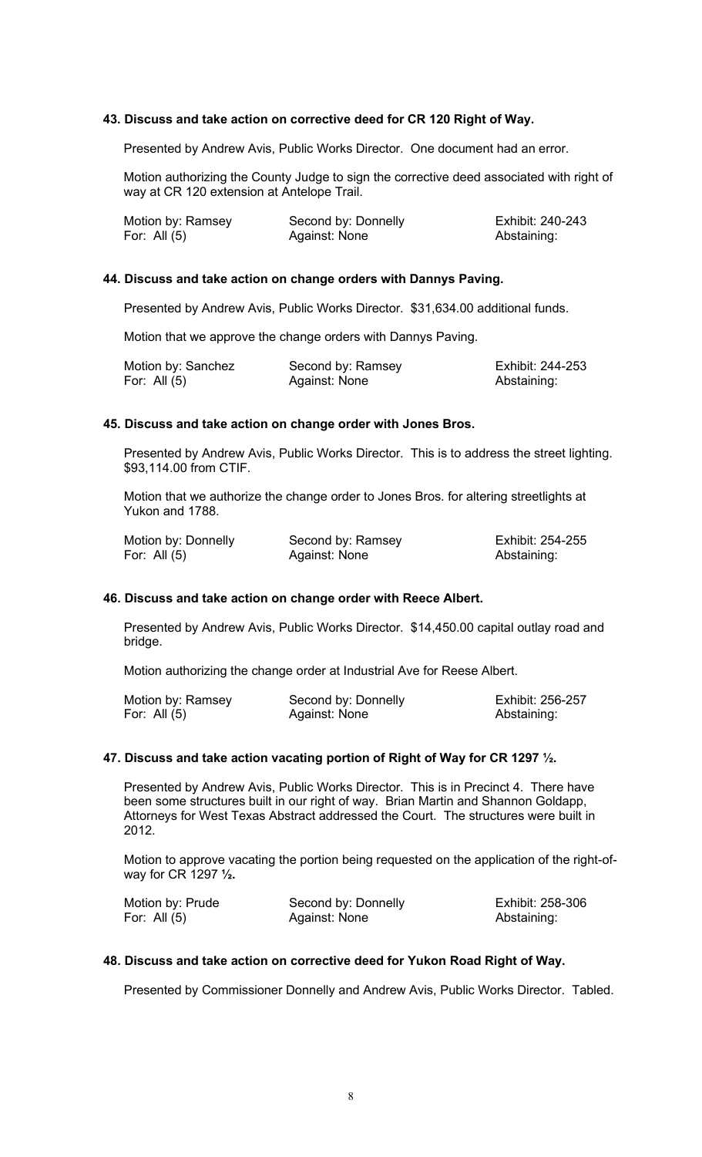### **43. Discuss and take action on corrective deed for CR 120 Right of Way.**

Presented by Andrew Avis, Public Works Director. One document had an error.

Motion authorizing the County Judge to sign the corrective deed associated with right of way at CR 120 extension at Antelope Trail.

| Motion by: Ramsey | Second by: Donnelly | Exhibit: 240-243 |
|-------------------|---------------------|------------------|
| For: All (5)      | Against: None       | Abstaining:      |

# **44. Discuss and take action on change orders with Dannys Paving.**

Presented by Andrew Avis, Public Works Director. \$31,634.00 additional funds.

Motion that we approve the change orders with Dannys Paving.

| Motion by: Sanchez | Second by: Ramsey | Exhibit: 244-253 |
|--------------------|-------------------|------------------|
| For: All (5)       | Against: None     | Abstaining:      |

### **45. Discuss and take action on change order with Jones Bros.**

Presented by Andrew Avis, Public Works Director. This is to address the street lighting. \$93,114.00 from CTIF.

Motion that we authorize the change order to Jones Bros. for altering streetlights at Yukon and 1788.

| Motion by: Donnelly | Second by: Ramsey | Exhibit: 254-255 |
|---------------------|-------------------|------------------|
| For: All $(5)$      | Against: None     | Abstaining:      |

### **46. Discuss and take action on change order with Reece Albert.**

Presented by Andrew Avis, Public Works Director. \$14,450.00 capital outlay road and bridge.

Motion authorizing the change order at Industrial Ave for Reese Albert.

| Motion by: Ramsey | Second by: Donnelly | Exhibit: 256-257 |
|-------------------|---------------------|------------------|
| For: All $(5)$    | Against: None       | Abstaining:      |

### **47. Discuss and take action vacating portion of Right of Way for CR 1297 ½.**

Presented by Andrew Avis, Public Works Director. This is in Precinct 4. There have been some structures built in our right of way. Brian Martin and Shannon Goldapp, Attorneys for West Texas Abstract addressed the Court. The structures were built in 2012.

Motion to approve vacating the portion being requested on the application of the right-ofway for CR 1297 **½.**

| Motion by: Prude | Second by: Donnelly | Exhibit: 258-306 |
|------------------|---------------------|------------------|
| For: All $(5)$   | Against: None       | Abstaining:      |

### **48. Discuss and take action on corrective deed for Yukon Road Right of Way.**

Presented by Commissioner Donnelly and Andrew Avis, Public Works Director. Tabled.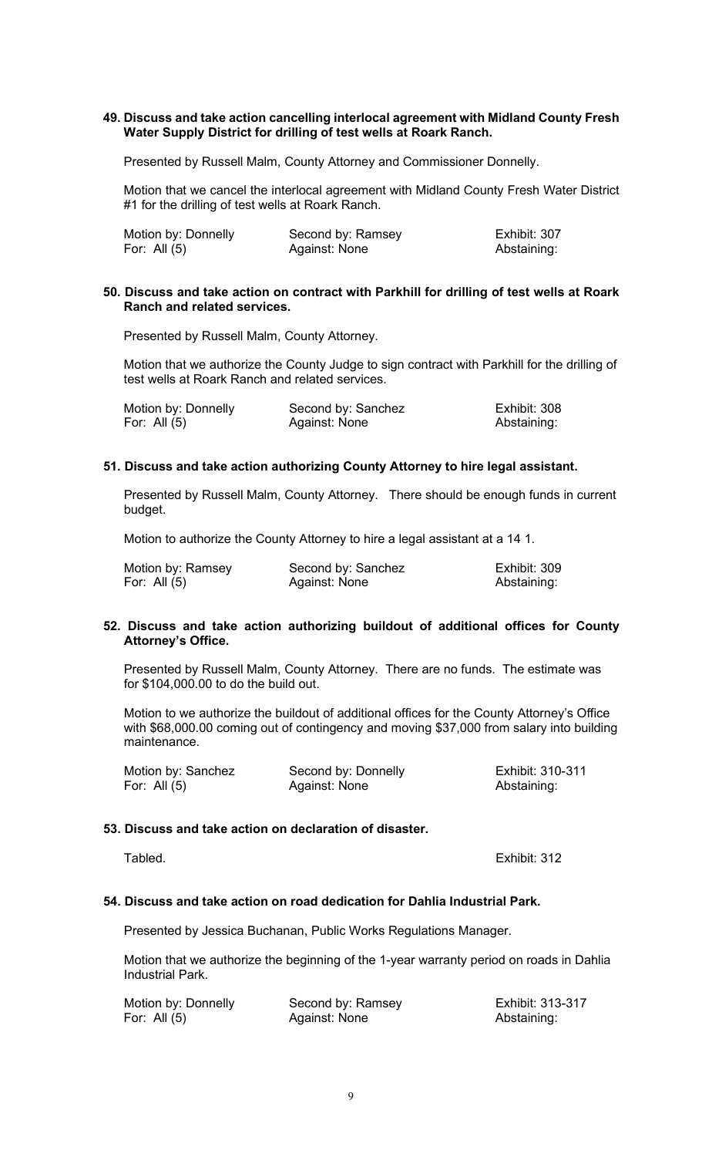# **49. Discuss and take action cancelling interlocal agreement with Midland County Fresh Water Supply District for drilling of test wells at Roark Ranch.**

Presented by Russell Malm, County Attorney and Commissioner Donnelly.

Motion that we cancel the interlocal agreement with Midland County Fresh Water District #1 for the drilling of test wells at Roark Ranch.

| Motion by: Donnelly | Second by: Ramsey | Exhibit: 307 |
|---------------------|-------------------|--------------|
| For: All $(5)$      | Against: None     | Abstaining:  |

#### **50. Discuss and take action on contract with Parkhill for drilling of test wells at Roark Ranch and related services.**

Presented by Russell Malm, County Attorney.

Motion that we authorize the County Judge to sign contract with Parkhill for the drilling of test wells at Roark Ranch and related services.

| Motion by: Donnelly | Second by: Sanchez | Exhibit: 308 |
|---------------------|--------------------|--------------|
| For: All (5)        | Against: None      | Abstaining:  |

# **51. Discuss and take action authorizing County Attorney to hire legal assistant.**

Presented by Russell Malm, County Attorney. There should be enough funds in current budget.

Motion to authorize the County Attorney to hire a legal assistant at a 14 1.

| Motion by: Ramsey | Second by: Sanchez | Exhibit: 309 |
|-------------------|--------------------|--------------|
| For: All (5)      | Against: None      | Abstaining:  |

### **52. Discuss and take action authorizing buildout of additional offices for County Attorney's Office.**

Presented by Russell Malm, County Attorney. There are no funds. The estimate was for \$104,000.00 to do the build out.

Motion to we authorize the buildout of additional offices for the County Attorney's Office with \$68,000.00 coming out of contingency and moving \$37,000 from salary into building maintenance.

| Motion by: Sanchez | Second by: Donnelly | Exhibit: 310-311 |
|--------------------|---------------------|------------------|
| For: All $(5)$     | Against: None       | Abstaining:      |

### **53. Discuss and take action on declaration of disaster.**

Tabled. Exhibit: 312

### **54. Discuss and take action on road dedication for Dahlia Industrial Park.**

Presented by Jessica Buchanan, Public Works Regulations Manager.

Motion that we authorize the beginning of the 1-year warranty period on roads in Dahlia Industrial Park.

| Motion by: Donnelly | Second by: Ramsey | Exhibit: 313-317 |
|---------------------|-------------------|------------------|
| For: All $(5)$      | Against: None     | Abstaining:      |